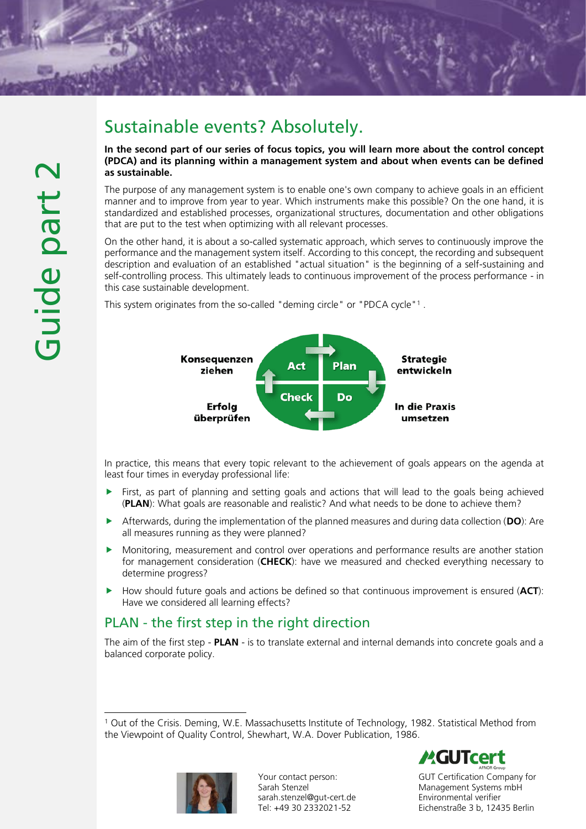# Sustainable events? Absolutely.

In the second part of our series of focus topics, you will learn more about the control concept (PDCA) and its planning within a management system and about when events can be defined as sustainable.

The purpose of any management system is to enable one's own company to achieve goals in an efficient manner and to improve from year to year. Which instruments make this possible? On the one hand, it is standardized and established processes, organizational structures, documentation and other obligations that are put to the test when optimizing with all relevant processes.

On the other hand, it is about a so-called systematic approach, which serves to continuously improve the performance and the management system itself. According to this concept, the recording and subsequent description and evaluation of an established "actual situation" is the beginning of a self-sustaining and self-controlling process. This ultimately leads to continuous improvement of the process performance - in this case sustainable development.

This system originates from the so-called "deming circle" or "PDCA cycle"<sup>1</sup>.



In practice, this means that every topic relevant to the achievement of goals appears on the agenda at least four times in everyday professional life:

- $\blacktriangleright$  First, as part of planning and setting goals and actions that will lead to the goals being achieved (PLAN): What goals are reasonable and realistic? And what needs to be done to achieve them?
- Afterwards, during the implementation of the planned measures and during data collection (DO): Are all measures running as they were planned?
- Monitoring, measurement and control over operations and performance results are another station for management consideration (CHECK): have we measured and checked everything necessary to determine progress?
- $\blacktriangleright$  How should future goals and actions be defined so that continuous improvement is ensured (ACT): Have we considered all learning effects?

# PLAN - the first step in the right direction

The aim of the first step - **PLAN** - is to translate external and internal demands into concrete goals and a balanced corporate policy.

<sup>1</sup> Out of the Crisis. Deming, W.E. Massachusetts Institute of Technology, 1982. Statistical Method from the Viewpoint of Quality Control, Shewhart, W.A. Dover Publication, 1986.



Your contact person: Sarah Stenzel sarah.stenzel@gut-cert.de Tel: +49 30 2332021-52



GUT Certification Company for Management Systems mbH Environmental verifier Eichenstraße 3 b, 12435 Berlin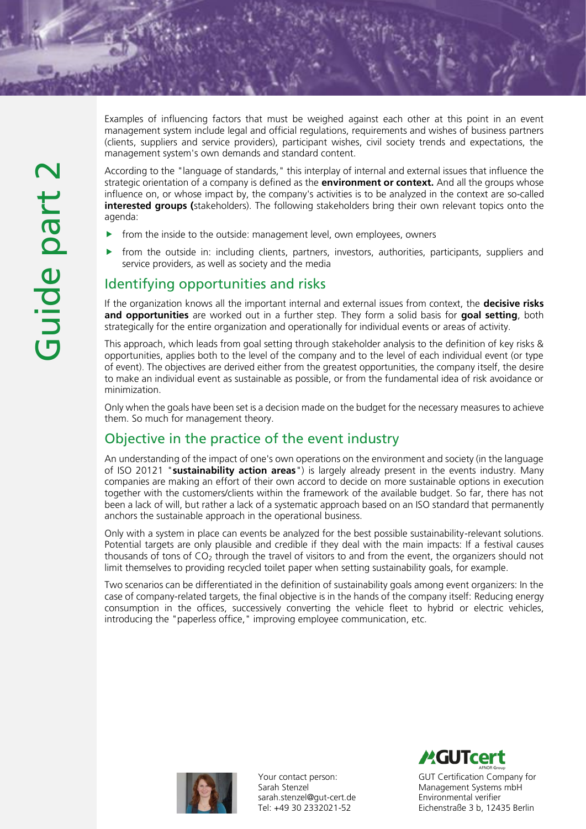Examples of influencing factors that must be weighed against each other at this point in an event management system include legal and official regulations, requirements and wishes of business partners (clients, suppliers and service providers), participant wishes, civil society trends and expectations, the management system's own demands and standard content.

According to the "language of standards," this interplay of internal and external issues that influence the strategic orientation of a company is defined as the **environment or context**. And all the groups whose influence on, or whose impact by, the company's activities is to be analyzed in the context are so-called interested groups (stakeholders). The following stakeholders bring their own relevant topics onto the agenda:

- $\triangleright$  from the inside to the outside: management level, own employees, owners
- from the outside in: including clients, partners, investors, authorities, participants, suppliers and service providers, as well as society and the media

### Identifying opportunities and risks

If the organization knows all the important internal and external issues from context, the **decisive risks** and opportunities are worked out in a further step. They form a solid basis for goal setting, both strategically for the entire organization and operationally for individual events or areas of activity.

This approach, which leads from goal setting through stakeholder analysis to the definition of key risks & opportunities, applies both to the level of the company and to the level of each individual event (or type of event). The objectives are derived either from the greatest opportunities, the company itself, the desire to make an individual event as sustainable as possible, or from the fundamental idea of risk avoidance or minimization.

Only when the goals have been set is a decision made on the budget for the necessary measures to achieve them. So much for management theory.

# Objective in the practice of the event industry

An understanding of the impact of one's own operations on the environment and society (in the language of ISO 20121 "sustainability action areas") is largely already present in the events industry. Many companies are making an effort of their own accord to decide on more sustainable options in execution together with the customers/clients within the framework of the available budget. So far, there has not been a lack of will, but rather a lack of a systematic approach based on an ISO standard that permanently anchors the sustainable approach in the operational business.

Only with a system in place can events be analyzed for the best possible sustainability-relevant solutions. Potential targets are only plausible and credible if they deal with the main impacts: If a festival causes thousands of tons of  $CO<sub>2</sub>$  through the travel of visitors to and from the event, the organizers should not limit themselves to providing recycled toilet paper when setting sustainability goals, for example.

Two scenarios can be differentiated in the definition of sustainability goals among event organizers: In the case of company-related targets, the final objective is in the hands of the company itself: Reducing energy consumption in the offices, successively converting the vehicle fleet to hybrid or electric vehicles, introducing the "paperless office," improving employee communication, etc.



Your contact person: Sarah Stenzel sarah.stenzel@gut-cert.de Tel: +49 30 2332021-52



GUT Certification Company for Management Systems mbH Environmental verifier Eichenstraße 3 b, 12435 Berlin